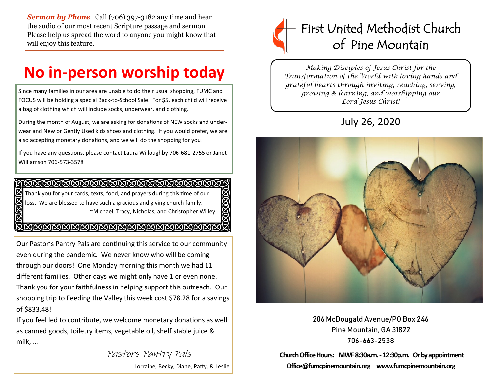**Sermon by Phone** Call (706) 397-3182 any time and hear the audio of our most recent Scripture passage and sermon. Please help us spread the word to anyone you might know that will enjoy this feature.

# **No in-person worship today**

Since many families in our area are unable to do their usual shopping, FUMC and FOCUS will be holding a special Back-to-School Sale. For \$5, each child will receive a bag of clothing which will include socks, underwear, and clothing.

During the month of August, we are asking for donations of NEW socks and underwear and New or Gently Used kids shoes and clothing. If you would prefer, we are also accepting monetary donations, and we will do the shopping for you!

If you have any questions, please contact Laura Willoughby 706-681-2755 or Janet Williamson 706-573-3578

505055 Thank you for your cards, texts, food, and prayers during this time of our loss. We are blessed to have such a gracious and giving church family. ~Michael, Tracy, Nicholas, and Christopher Willey

### <u>A RERRERRERRERRERRERRERREN</u>

Our Pastor's Pantry Pals are continuing this service to our community even during the pandemic. We never know who will be coming through our doors! One Monday morning this month we had 11 different families. Other days we might only have 1 or even none. Thank you for your faithfulness in helping support this outreach. Our shopping trip to Feeding the Valley this week cost \$78.28 for a savings of \$833.48!

If you feel led to contribute, we welcome monetary donations as well as canned goods, toiletry items, vegetable oil, shelf stable juice & milk, …

> Pastors Pantry Pals Lorraine, Becky, Diane, Patty, & Leslie

**SISIEIS** 



*Making Disciples of Jesus Christ for the Transformation of the World with loving hands and grateful hearts through inviting, reaching, serving, growing & learning, and worshipping our Lord Jesus Christ!* 

## July 26, 2020



206 McDougald Avenue/PO Box 246 Pine Mountain, GA 31822 706-663-2538

**Church Office Hours: MWF 8:30a.m. -12:30p.m. Or by appointment Office@fumcpinemountain.org www.fumcpinemountain.org**